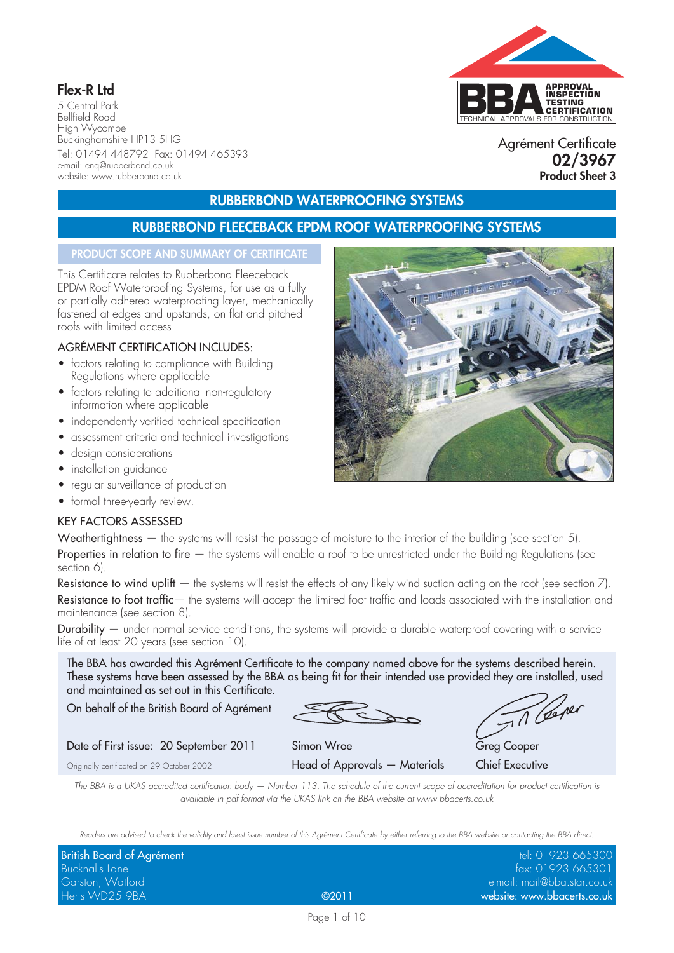# **Flex-R Ltd**

5 Central Park Bellfield Road High Wycombe Buckinghamshire HP13 5HG Tel: 01494 448792 Fax: 01494 465393 e-mail: enq@rubberbond.co.uk website: www.rubberbond.co.uk

# TECHNICAL APPROVALS FOR CONSTRUCTION **APPROVAL INSPECTION TESTING CERTIFICATION**

Agrément Certificate **02/3967 Product Sheet 3**

# **RUBBERBOND WATERPROOFING SYSTEMS**

# **RUBBERBOND FLEECEBACK EPDM ROOF WATERPROOFING SYSTEMS**

#### **PRODUCT SCOPE AND SUMMARY OF CERTIFICATE**

This Certificate relates to Rubberbond Fleeceback EPDM Roof Waterproofing Systems, for use as a fully or partially adhered waterproofing layer, mechanically fastened at edges and upstands, on flat and pitched roofs with limited access.

#### AGRÉMENT CERTIFICATION INCLUDES:

- factors relating to compliance with Building Regulations where applicable
- factors relating to additional non-regulatory information where applicable
- independently verified technical specification
- assessment criteria and technical investigations
- design considerations
- installation auidance
- regular surveillance of production
- formal three-yearly review.

#### KEY FACTORS ASSESSED

Weathertightness — the systems will resist the passage of moisture to the interior of the building (see section 5). Properties in relation to fire  $-$  the systems will enable a roof to be unrestricted under the Building Regulations (see section 6).

Resistance to wind uplift  $-$  the systems will resist the effects of any likely wind suction acting on the roof (see section  $7$ ). Resistance to foot traffic— the systems will accept the limited foot traffic and loads associated with the installation and maintenance (see section 8).

Durability — under normal service conditions, the systems will provide a durable waterproof covering with a service life of at least 20 years (see section 10).

The BBA has awarded this Agrément Certificate to the company named above for the systems described herein. These systems have been assessed by the BBA as being fit for their intended use provided they are installed, used and maintained as set out in this Certificate.

On behalf of the British Board of Agrément

Til Ceper

Date of First issue: 20 September 2011 Simon Wroe Greg Cooper Greg Cooper Originally certificated on 29 October 2002 Head of Approvals — Materials Chief Executive

*The BBA is a UKAS accredited certification body — Number 113. The schedule of the current scope of accreditation for product certification is available in pdf format via the UKAS link on the BBA website at www.bbacerts.co.uk*

*Readers are advised to check the validity and latest issue number of this Agrément Certificate by either referring to the BBA website or contacting the BBA direct.*

| British Board of Agrément |       | tel: 01923 665300           |
|---------------------------|-------|-----------------------------|
| Bucknalls Lane            |       | fax: 01923 665301           |
| Garston, Watford          |       | e-mail: mail@bba.star.co.uk |
| Herts WD25 9BA            | @2011 | website: www.bbacerts.co.uk |

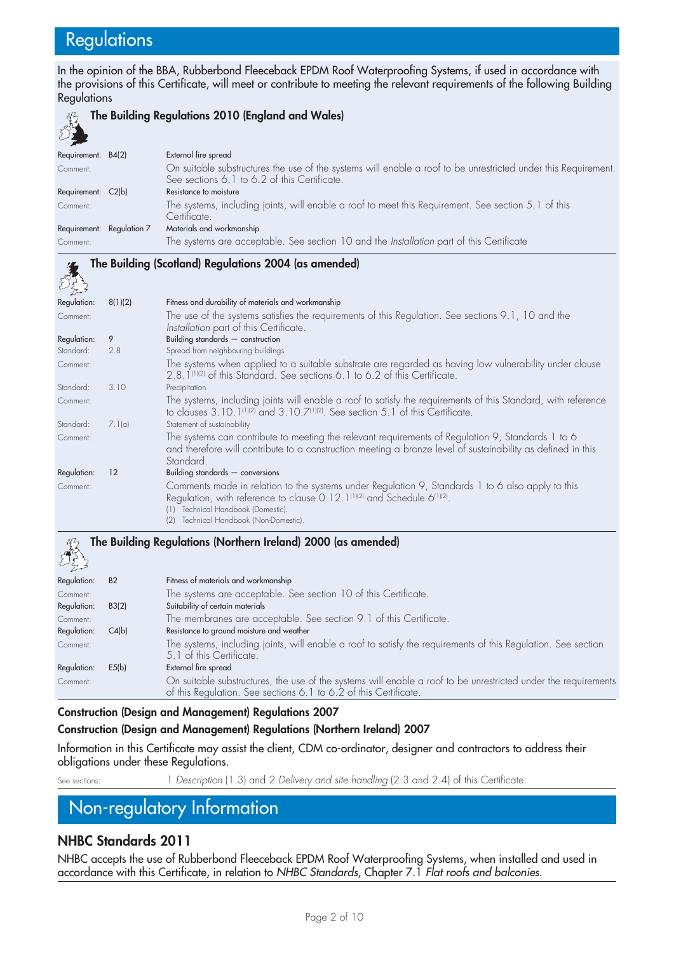# **Regulations**

In the opinion of the BBA, Rubberbond Fleeceback EPDM Roof Waterproofing Systems, if used in accordance with the provisions of this Certificate, will meet or contribute to meeting the relevant requirements of the following Building Regulations



**The Building Regulations 2010 (England and Wales)**

| ويدب                      |                                                                                                                |
|---------------------------|----------------------------------------------------------------------------------------------------------------|
| Requirement: B4(2)        | External fire spread                                                                                           |
| Comment:                  | On suitable substructures the use of the systems will enable a roof to be unrestricted under this Requirement. |
|                           | See sections 6.1 to 6.2 of this Certificate.                                                                   |
| Requirement: C2(b)        | Resistance to moisture                                                                                         |
| Comment:                  | The systems, including joints, will enable a roof to meet this Requirement. See section 5.1 of this            |
|                           | Certificate.                                                                                                   |
| Requirement: Regulation 7 | Materials and workmanship                                                                                      |
| Comment:                  | The systems are acceptable. See section 10 and the Installation part of this Certificate                       |
|                           |                                                                                                                |

# **The Building (Scotland) Regulations 2004 (as amended)**

| كحيد سيم كمسك |         |                                                                                                                                                                                                                                                                                         |
|---------------|---------|-----------------------------------------------------------------------------------------------------------------------------------------------------------------------------------------------------------------------------------------------------------------------------------------|
| Regulation:   | 8(1)(2) | Fitness and durability of materials and workmanship                                                                                                                                                                                                                                     |
| Comment:      |         | The use of the systems satisfies the requirements of this Regulation. See sections 9.1, 10 and the<br>Installation part of this Certificate.                                                                                                                                            |
| Regulation:   | 9       | Building standards $-$ construction                                                                                                                                                                                                                                                     |
| Standard:     | 2.8     | Spread from neighbouring buildings                                                                                                                                                                                                                                                      |
| Comment:      |         | The systems when applied to a suitable substrate are regarded as having low vulnerability under clause<br>2.8. [11 2] of this Standard. See sections 6. 1 to 6.2 of this Certificate.                                                                                                   |
| Standard:     | 3.10    | Precipitation                                                                                                                                                                                                                                                                           |
| Comment:      |         | The systems, including joints will enable a roof to satisfy the requirements of this Standard, with reference<br>to clauses 3.10.1(1)(2) and 3.10.7(1)(2). See section 5.1 of this Certificate.                                                                                         |
| Standard:     | 7.1(a)  | Statement of sustainability                                                                                                                                                                                                                                                             |
| Comment:      |         | The systems can contribute to meeting the relevant requirements of Regulation 9, Standards 1 to 6<br>and therefore will contribute to a construction meeting a bronze level of sustainability as defined in this<br>Standard.                                                           |
| Regulation:   | 12      | Building standards $-$ conversions                                                                                                                                                                                                                                                      |
| Comment:      |         | Comments made in relation to the systems under Regulation 9, Standards 1 to 6 also apply to this<br>Regulation, with reference to clause 0.12.1 <sup>(1)(2)</sup> and Schedule 6 <sup>(1)(2)</sup> .<br>Technical Handbook (Domestic).<br>(1)<br>(2) Technical Handbook (Non-Domestic). |

**The Building Regulations (Northern Ireland) 2000 (as amended)**

| $\sim$ $\approx$ |                |                                                                                                                                                                                    |
|------------------|----------------|------------------------------------------------------------------------------------------------------------------------------------------------------------------------------------|
| Regulation:      | B <sub>2</sub> | Fitness of materials and workmanship                                                                                                                                               |
| Comment:         |                | The systems are acceptable. See section 10 of this Certificate.                                                                                                                    |
| Regulation:      | B3(2)          | Suitability of certain materials                                                                                                                                                   |
| Comment:         |                | The membranes are acceptable. See section 9.1 of this Certificate.                                                                                                                 |
| Regulation:      | C4(b)          | Resistance to ground moisture and weather                                                                                                                                          |
| Comment:         |                | The systems, including joints, will enable a roof to satisfy the requirements of this Regulation. See section<br>5.1 of this Certificate.                                          |
| Regulation:      | E5(b)          | External fire spread                                                                                                                                                               |
| Comment:         |                | On suitable substructures, the use of the systems will enable a roof to be unrestricted under the requirements<br>of this Regulation. See sections 6.1 to 6.2 of this Certificate. |

# **Construction (Design and Management) Regulations 2007**

#### **Construction (Design and Management) Regulations (Northern Ireland) 2007**

Information in this Certificate may assist the client, CDM co-ordinator, designer and contractors to address their obligations under these Regulations.

See sections: 1 *Description* (1.3) and 2 *Delivery and site handling* (2.3 and 2.4) of this Certificate.

# Non-regulatory Information

# **NHBC Standards 2011**

NHBC accepts the use of Rubberbond Fleeceback EPDM Roof Waterproofing Systems, when installed and used in accordance with this Certificate, in relation to *NHBC Standards*, Chapter 7.1 *Flat roofs and balconies*.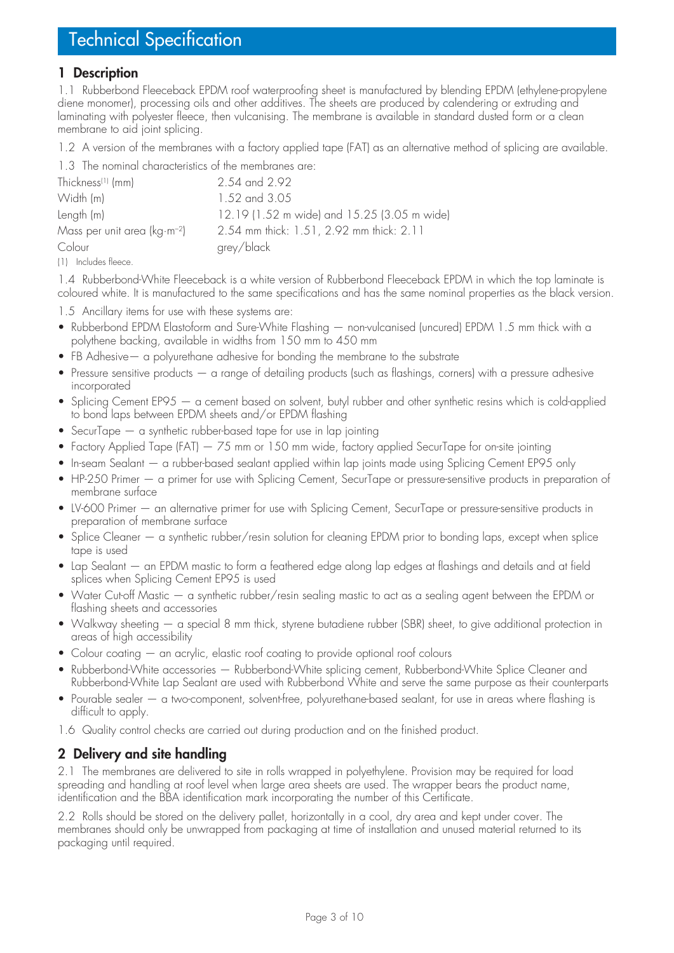## **1 Description**

1.1 Rubberbond Fleeceback EPDM roof waterproofing sheet is manufactured by blending EPDM (ethylene-propylene diene monomer), processing oils and other additives. The sheets are produced by calendering or extruding and laminating with polyester fleece, then vulcanising. The membrane is available in standard dusted form or a clean membrane to aid joint splicing.

1.2 A version of the membranes with a factory applied tape (FAT) as an alternative method of splicing are available.

1.3 The nominal characteristics of the membranes are:

| Thickness <sup>(1)</sup> (mm)   | 2.54 and 2.92                               |
|---------------------------------|---------------------------------------------|
| Width (m)                       | 1.52 and 3.05                               |
| Length (m)                      | 12.19 (1.52 m wide) and 15.25 (3.05 m wide) |
| Mass per unit area ( $kg·m-2$ ) | 2.54 mm thick: 1.51, 2.92 mm thick: 2.11    |
| Colour                          | grey/black                                  |
|                                 |                                             |

(1) Includes fleece.

1.4 Rubberbond-White Fleeceback is a white version of Rubberbond Fleeceback EPDM in which the top laminate is coloured white. It is manufactured to the same specifications and has the same nominal properties as the black version.

1.5 Ancillary items for use with these systems are:

- Rubberbond EPDM Elastoform and Sure-White Flashing non-vulcanised (uncured) EPDM 1.5 mm thick with a polythene backing, available in widths from 150 mm to 450 mm
- FB Adhesive a polyurethane adhesive for bonding the membrane to the substrate
- Pressure sensitive products a range of detailing products (such as flashings, corners) with a pressure adhesive incorporated
- Splicing Cement EP95 a cement based on solvent, butyl rubber and other synthetic resins which is cold-applied to bond laps between EPDM sheets and/or EPDM flashing
- $\gamma$  SecurTape  $-$  a synthetic rubber-based tape for use in lap jointing
- Factory Applied Tape (FAT)  $-75$  mm or 150 mm wide, factory applied SecurTape for on-site jointing
- In-seam Sealant a rubber-based sealant applied within lap joints made using Splicing Cement EP95 only
- HP-250 Primer a primer for use with Splicing Cement, SecurTape or pressure-sensitive products in preparation of membrane surface
- LV-600 Primer an alternative primer for use with Splicing Cement, SecurTape or pressure-sensitive products in preparation of membrane surface
- Splice Cleaner a synthetic rubber/resin solution for cleaning EPDM prior to bonding laps, except when splice tape is used
- Lap Sealant an EPDM mastic to form a feathered edge along lap edges at flashings and details and at field splices when Splicing Cement EP95 is used
- Water Cut-off Mastic a synthetic rubber/resin sealing mastic to act as a sealing agent between the EPDM or flashing sheets and accessories
- Walkway sheeting a special 8 mm thick, styrene butadiene rubber (SBR) sheet, to give additional protection in areas of high accessibility
- Colour coating  $-$  an acrylic, elastic roof coating to provide optional roof colours
- Rubberbond-White accessories Rubberbond-White splicing cement, Rubberbond-White Splice Cleaner and Rubberbond-White Lap Sealant are used with Rubberbond White and serve the same purpose as their counterparts
- Pourable sealer a two-component, solvent-free, polyurethane-based sealant, for use in areas where flashing is difficult to apply.
- 1.6 Quality control checks are carried out during production and on the finished product.

## **2 Delivery and site handling**

2.1 The membranes are delivered to site in rolls wrapped in polyethylene. Provision may be required for load spreading and handling at roof level when large area sheets are used. The wrapper bears the product name, identification and the BBA identification mark incorporating the number of this Certificate.

2.2 Rolls should be stored on the delivery pallet, horizontally in a cool, dry area and kept under cover. The membranes should only be unwrapped from packaging at time of installation and unused material returned to its packaging until required.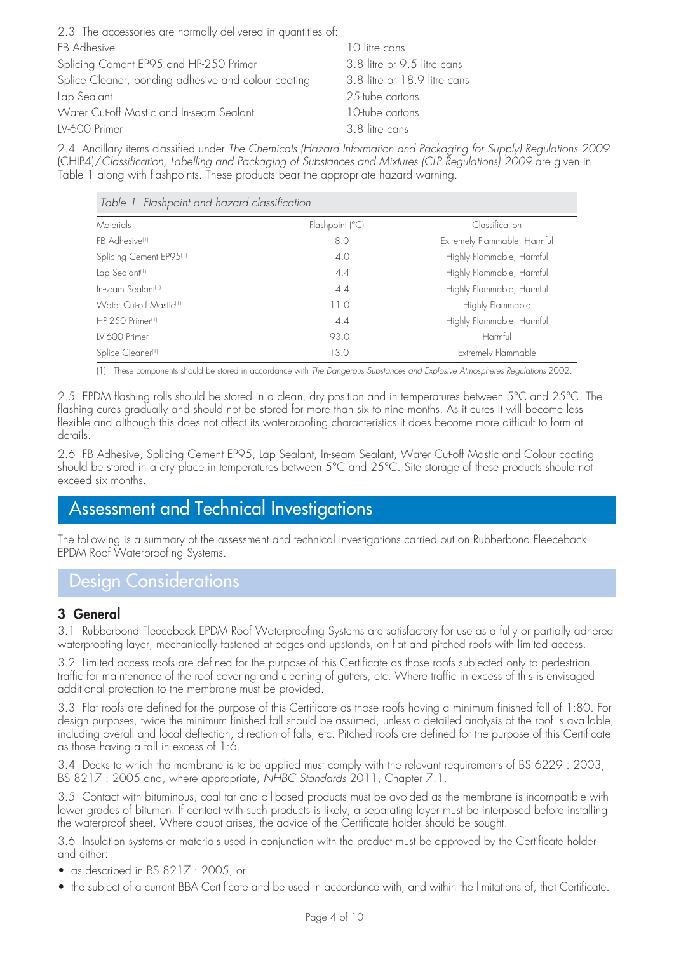| 2.3 The accessories are normally delivered in quantities of: |                              |
|--------------------------------------------------------------|------------------------------|
| FB Adhesive                                                  | 10 litre cans                |
| Splicing Cement EP95 and HP-250 Primer                       | 3.8 litre or 9.5 litre cans  |
| Splice Cleaner, bonding adhesive and colour coating          | 3.8 litre or 18.9 litre cans |
| Lap Sealant                                                  | 25-tube cartons              |
| Water Cut-off Mastic and In-seam Sealant                     | 10-tube cartons              |
| LV-600 Primer                                                | 3.8 litre cans               |

2.4 Ancillary items classified under *The Chemicals (Hazard Information and Packaging for Supply) Regulations 2009* (CHIP4)/*Classification, Labelling and Packaging of Substances and Mixtures (CLP Regulations) 2009* are given in Table 1 along with flashpoints. These products bear the appropriate hazard warning.

| Table 1 Flashpoint and hazard classification |                 |                              |
|----------------------------------------------|-----------------|------------------------------|
| Materials                                    | Flashpoint (°C) | Classification               |
| FB Adhesive <sup>(1)</sup>                   | $-8.0$          | Extremely Flammable, Harmful |
| Splicing Cement EP95 <sup>(1)</sup>          | 4.0             | Highly Flammable, Harmful    |
| Lap Sealant <sup>(1)</sup>                   | 4.4             | Highly Flammable, Harmful    |
| In-seam Sealant <sup>(1)</sup>               | 4.4             | Highly Flammable, Harmful    |
| Water Cut-off Mastic <sup>(1)</sup>          | 11.0            | Highly Flammable             |
| HP-250 Primer <sup>(1)</sup>                 | 4.4             | Highly Flammable, Harmful    |
| IV-600 Primer                                | 93.0            | Harmful                      |
| Splice Cleaner <sup>(1)</sup>                | $-13.0$         | Extremely Flammable          |

(1) These components should be stored in accordance with *The Dangerous Substances and Explosive Atmospheres Regulations* 2002.

2.5 EPDM flashing rolls should be stored in a clean, dry position and in temperatures between 5°C and 25°C. The flashing cures gradually and should not be stored for more than six to nine months. As it cures it will become less flexible and although this does not affect its waterproofing characteristics it does become more difficult to form at details.

2.6 FB Adhesive, Splicing Cement EP95, Lap Sealant, In-seam Sealant, Water Cut-off Mastic and Colour coating should be stored in a dry place in temperatures between 5°C and 25°C. Site storage of these products should not exceed six months.

# Assessment and Technical Investigations

The following is a summary of the assessment and technical investigations carried out on Rubberbond Fleeceback EPDM Roof Waterproofing Systems.

# Design Considerations

#### **3 General**

3.1 Rubberbond Fleeceback EPDM Roof Waterproofing Systems are satisfactory for use as a fully or partially adhered waterproofing layer, mechanically fastened at edges and upstands, on flat and pitched roofs with limited access.

3.2 Limited access roofs are defined for the purpose of this Certificate as those roofs subjected only to pedestrian traffic for maintenance of the roof covering and cleaning of gutters, etc. Where traffic in excess of this is envisaged additional protection to the membrane must be provided.

3.3 Flat roofs are defined for the purpose of this Certificate as those roofs having a minimum finished fall of 1:80. For design purposes, twice the minimum finished fall should be assumed, unless a detailed analysis of the roof is available, including overall and local deflection, direction of falls, etc. Pitched roofs are defined for the purpose of this Certificate as those having a fall in excess of 1:6.

3.4 Decks to which the membrane is to be applied must comply with the relevant requirements of BS 6229 : 2003, BS 8217 : 2005 and, where appropriate, *NHBC Standards* 2011, Chapter 7.1.

3.5 Contact with bituminous, coal tar and oil-based products must be avoided as the membrane is incompatible with lower grades of bitumen. If contact with such products is likely, a separating layer must be interposed before installing the waterproof sheet. Where doubt arises, the advice of the Certificate holder should be sought.

3.6 Insulation systems or materials used in conjunction with the product must be approved by the Certificate holder and either:

- as described in BS 8217 : 2005, or
- the subject of a current BBA Certificate and be used in accordance with, and within the limitations of, that Certificate.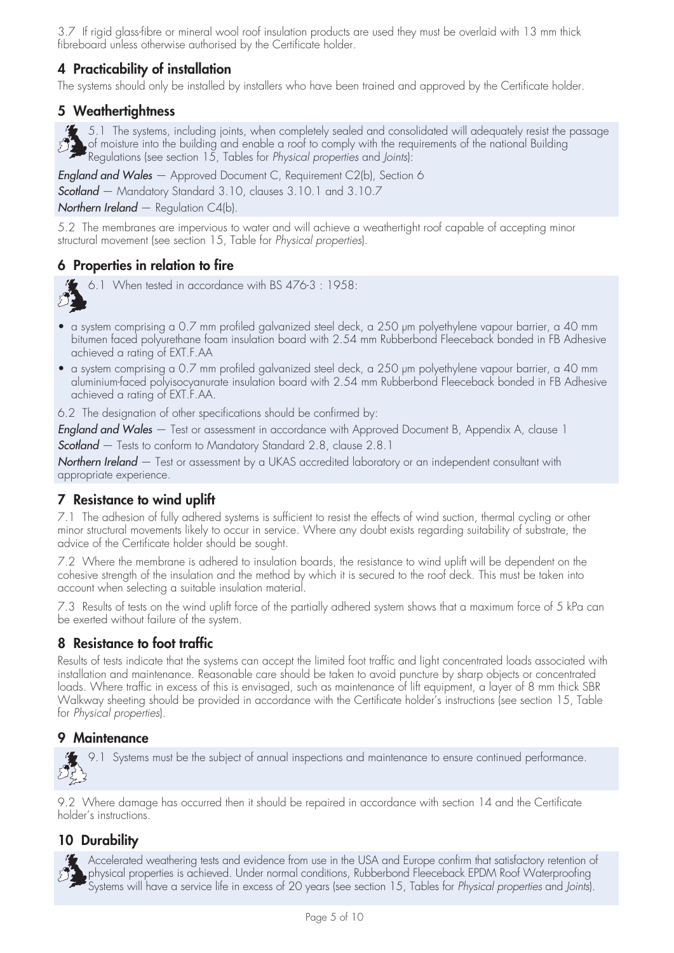3.7 If rigid glass-fibre or mineral wool roof insulation products are used they must be overlaid with 13 mm thick fibreboard unless otherwise authorised by the Certificate holder.

# **4 Practicability of installation**

The systems should only be installed by installers who have been trained and approved by the Certificate holder.

### **5 Weathertightness**

5.1 The systems, including joints, when completely sealed and consolidated will adequately resist the passage of moisture into the building and enable a roof to comply with the requirements of the national Building Regulations (see section 15, Tables for *Physical properties* and *Joints*):

*England and Wales* — Approved Document C, Requirement C2(b), Section 6

*Scotland* — Mandatory Standard 3.10, clauses 3.10.1 and 3.10.7

*Northern Ireland* — Regulation C4(b).

5.2 The membranes are impervious to water and will achieve a weathertight roof capable of accepting minor structural movement (see section 15, Table for *Physical properties*).

## **6 Properties in relation to fire**



6.1 When tested in accordance with BS 476-3 : 1958:

- a system comprising a 0.7 mm profiled galvanized steel deck, a 250 µm polyethylene vapour barrier, a 40 mm bitumen faced polyurethane foam insulation board with 2.54 mm Rubberbond Fleeceback bonded in FB Adhesive achieved a rating of EXT.F.AA
- a system comprising a 0.7 mm profiled galvanized steel deck, a 250 µm polyethylene vapour barrier, a 40 mm aluminium-faced polyisocyanurate insulation board with 2.54 mm Rubberbond Fleeceback bonded in FB Adhesive achieved a rating of EXT.F.AA.

6.2 The designation of other specifications should be confirmed by:

*England and Wales* — Test or assessment in accordance with Approved Document B, Appendix A, clause 1

*Scotland* — Tests to conform to Mandatory Standard 2.8, clause 2.8.1

*Northern Ireland* — Test or assessment by a UKAS accredited laboratory or an independent consultant with appropriate experience.

## **7 Resistance to wind uplift**

7.1 The adhesion of fully adhered systems is sufficient to resist the effects of wind suction, thermal cycling or other minor structural movements likely to occur in service. Where any doubt exists regarding suitability of substrate, the advice of the Certificate holder should be sought.

7.2 Where the membrane is adhered to insulation boards, the resistance to wind uplift will be dependent on the cohesive strength of the insulation and the method by which it is secured to the roof deck. This must be taken into account when selecting a suitable insulation material.

7.3 Results of tests on the wind uplift force of the partially adhered system shows that a maximum force of 5 kPa can be exerted without failure of the system.

## **8 Resistance to foot traffic**

Results of tests indicate that the systems can accept the limited foot traffic and light concentrated loads associated with installation and maintenance. Reasonable care should be taken to avoid puncture by sharp objects or concentrated loads. Where traffic in excess of this is envisaged, such as maintenance of lift equipment, a layer of 8 mm thick SBR Walkway sheeting should be provided in accordance with the Certificate holder's instructions (see section 15, Table for *Physical properties*).

#### **9 Maintenance**

9.1 Systems must be the subject of annual inspections and maintenance to ensure continued performance.

9.2 Where damage has occurred then it should be repaired in accordance with section 14 and the Certificate holder's instructions.

# **10 Durability**

Accelerated weathering tests and evidence from use in the USA and Europe confirm that satisfactory retention of physical properties is achieved. Under normal conditions, Rubberbond Fleeceback EPDM Roof Waterproofing Systems will have a service life in excess of 20 years (see section 15, Tables for *Physical properties* and *Joints*).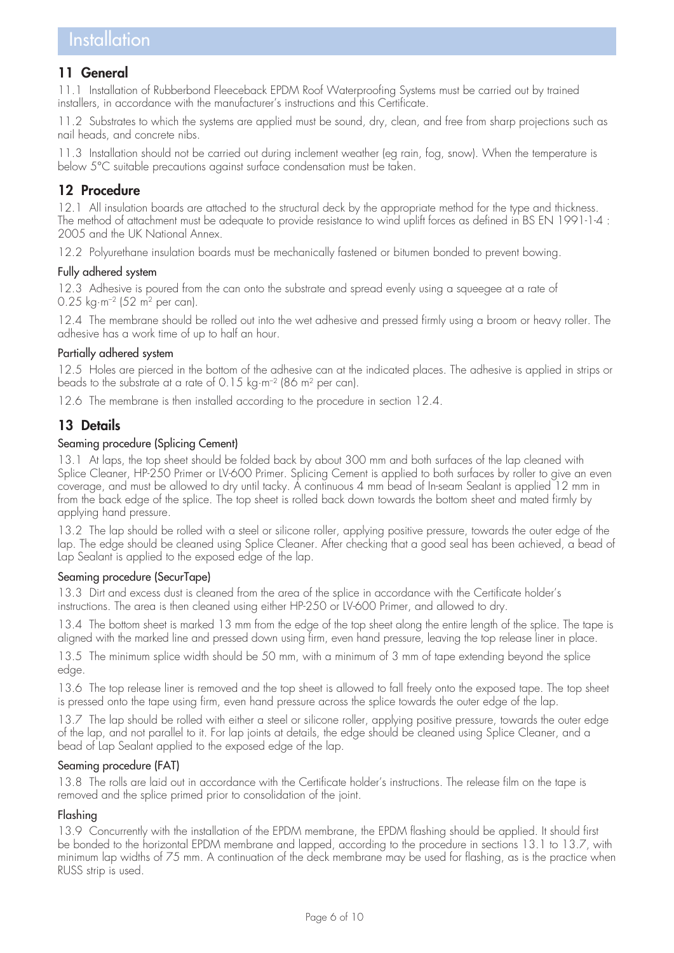## **11 General**

11.1 Installation of Rubberbond Fleeceback EPDM Roof Waterproofing Systems must be carried out by trained installers, in accordance with the manufacturer's instructions and this Certificate.

11.2 Substrates to which the systems are applied must be sound, dry, clean, and free from sharp projections such as nail heads, and concrete nibs.

11.3 Installation should not be carried out during inclement weather (eg rain, fog, snow). When the temperature is below 5°C suitable precautions against surface condensation must be taken.

## **12 Procedure**

12.1 All insulation boards are attached to the structural deck by the appropriate method for the type and thickness. The method of attachment must be adequate to provide resistance to wind uplift forces as defined in BS EN 1991-1-4 : 2005 and the UK National Annex.

12.2 Polyurethane insulation boards must be mechanically fastened or bitumen bonded to prevent bowing.

#### Fully adhered system

12.3 Adhesive is poured from the can onto the substrate and spread evenly using a squeegee at a rate of 0.25 kg·m–2 (52 m2 per can).

12.4 The membrane should be rolled out into the wet adhesive and pressed firmly using a broom or heavy roller. The adhesive has a work time of up to half an hour.

#### Partially adhered system

12.5 Holes are pierced in the bottom of the adhesive can at the indicated places. The adhesive is applied in strips or beads to the substrate at a rate of 0.15 kg·m–2 (86 m2 per can).

12.6 The membrane is then installed according to the procedure in section 12.4.

## **13 Details**

#### Seaming procedure (Splicing Cement)

13.1 At laps, the top sheet should be folded back by about 300 mm and both surfaces of the lap cleaned with Splice Cleaner, HP-250 Primer or LV-600 Primer. Splicing Cement is applied to both surfaces by roller to give an even coverage, and must be allowed to dry until tacky. A continuous 4 mm bead of In-seam Sealant is applied 12 mm in from the back edge of the splice. The top sheet is rolled back down towards the bottom sheet and mated firmly by applying hand pressure.

13.2 The lap should be rolled with a steel or silicone roller, applying positive pressure, towards the outer edge of the lap. The edge should be cleaned using Splice Cleaner. After checking that a good seal has been achieved, a bead of Lap Sealant is applied to the exposed edge of the lap.

#### Seaming procedure (SecurTape)

13.3 Dirt and excess dust is cleaned from the area of the splice in accordance with the Certificate holder's instructions. The area is then cleaned using either HP-250 or LV-600 Primer, and allowed to dry.

13.4 The bottom sheet is marked 13 mm from the edge of the top sheet along the entire length of the splice. The tape is aligned with the marked line and pressed down using firm, even hand pressure, leaving the top release liner in place.

13.5 The minimum splice width should be 50 mm, with a minimum of 3 mm of tape extending beyond the splice edge.

13.6 The top release liner is removed and the top sheet is allowed to fall freely onto the exposed tape. The top sheet is pressed onto the tape using firm, even hand pressure across the splice towards the outer edge of the lap.

13.7 The lap should be rolled with either a steel or silicone roller, applying positive pressure, towards the outer edge of the lap, and not parallel to it. For lap joints at details, the edge should be cleaned using Splice Cleaner, and a bead of Lap Sealant applied to the exposed edge of the lap.

#### Seaming procedure (FAT)

13.8 The rolls are laid out in accordance with the Certificate holder's instructions. The release film on the tape is removed and the splice primed prior to consolidation of the joint.

#### Flashing

13.9 Concurrently with the installation of the EPDM membrane, the EPDM flashing should be applied. It should first be bonded to the horizontal EPDM membrane and lapped, according to the procedure in sections 13.1 to 13.7, with minimum lap widths of 75 mm. A continuation of the deck membrane may be used for flashing, as is the practice when RUSS strip is used.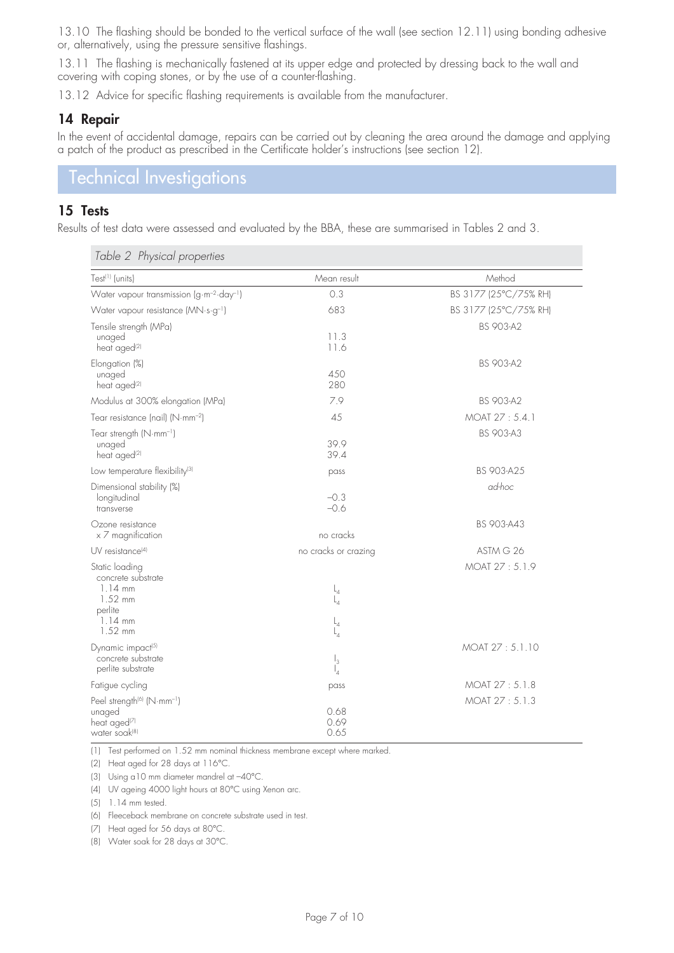13.10 The flashing should be bonded to the vertical surface of the wall (see section 12.11) using bonding adhesive or, alternatively, using the pressure sensitive flashings.

13.11 The flashing is mechanically fastened at its upper edge and protected by dressing back to the wall and covering with coping stones, or by the use of a counter-flashing.

13.12 Advice for specific flashing requirements is available from the manufacturer.

#### **14 Repair**

In the event of accidental damage, repairs can be carried out by cleaning the area around the damage and applying a patch of the product as prescribed in the Certificate holder's instructions (see section 12).

# Technical Investigations

#### **15 Tests**

Results of test data were assessed and evaluated by the BBA, these are summarised in Tables 2 and 3.

| Test <sup>(1)</sup> (units)                                                                               | Mean result                        | Method                |
|-----------------------------------------------------------------------------------------------------------|------------------------------------|-----------------------|
| Water vapour transmission (g·m <sup>-2</sup> ·day <sup>-1</sup> )                                         | 0.3                                | BS 3177 (25°C/75% RH) |
| Water vapour resistance (MN·s·g <sup>-1</sup> )                                                           | 683                                | BS 3177 (25°C/75% RH) |
| Tensile strength (MPa)<br>unaged<br>heat aged <sup>(2)</sup>                                              | 11.3<br>11.6                       | <b>BS 903-A2</b>      |
| Elongation (%)<br>unaged<br>heat aged <sup>(2)</sup>                                                      | 450<br>280                         | <b>BS 903-A2</b>      |
| Modulus at 300% elongation (MPa)                                                                          | 7.9                                | <b>BS 903-A2</b>      |
| Tear resistance (nail) (N·mm <sup>-2</sup> )                                                              | 45                                 | MOAT 27:5.4.1         |
| Tear strength (N·mm <sup>-1</sup> )<br>unaged<br>heat aged <sup>(2)</sup>                                 | 39.9<br>39.4                       | <b>BS 903-A3</b>      |
| Low temperature flexibility <sup>(3)</sup>                                                                | pass                               | BS 903-A25            |
| Dimensional stability (%)<br>longitudinal<br>transverse                                                   | $-0.3$<br>$-0.6$                   | ad-hoc                |
| Ozone resistance<br>x 7 magnification                                                                     | no cracks                          | BS 903-A43            |
| $UV$ resistance <sup>[4]</sup>                                                                            | no cracks or crazing               | ASTM G 26             |
| Static loading<br>concrete substrate<br>$1.14 \text{ mm}$<br>$1.52$ mm<br>perlite<br>$1.14$ mm<br>1.52 mm | $L_4$<br>$L_{A}$<br>$L_4$<br>$L_4$ | MOAT 27:5.1.9         |
| Dynamic impact <sup>[5]</sup><br>concrete substrate<br>perlite substrate                                  | $\mathsf{I}_3$<br>$\mathsf{I}_4$   | MOAT 27:5.1.10        |
| Fatigue cycling                                                                                           | pass                               | MOAT 27:5.1.8         |
| Peel strength <sup>(6)</sup> (N·mm <sup>-1</sup> )<br>unaged<br>heat aged <sup>(7)</sup><br>water soak(8) | 0.68<br>0.69<br>0.65               | MOAT 27:5.1.3         |

*Table 2 Physical properties*

(1) Test performed on 1.52 mm nominal thickness membrane except where marked.

(2) Heat aged for 28 days at 116°C.

(3) Using a10 mm diameter mandrel at –40°C.

(4) UV ageing 4000 light hours at 80°C using Xenon arc.

(5) 1.14 mm tested.

(6) Fleeceback membrane on concrete substrate used in test.

(7) Heat aged for 56 days at 80°C.

(8) Water soak for 28 days at 30°C.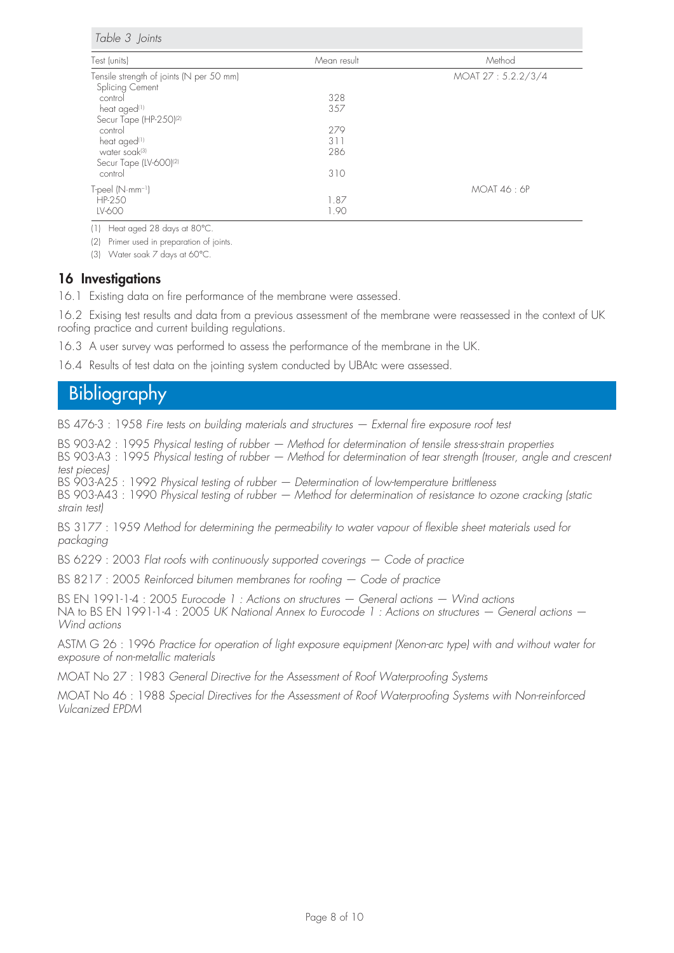*Table 3 Joints*

| Test (units)                             | Mean result | Method            |
|------------------------------------------|-------------|-------------------|
| Tensile strength of joints (N per 50 mm) |             | MOAT 27:5.2.2/3/4 |
| Splicing Cement                          |             |                   |
| control                                  | 328         |                   |
| heat aged <sup>(1)</sup>                 | 357         |                   |
| Secur Tape (HP-250) <sup>(2)</sup>       |             |                   |
| control                                  | 279         |                   |
| heat aged <sup>(1)</sup>                 | 311         |                   |
| water soak(3)                            | 286         |                   |
| Secur Tape (LV-600) <sup>(2)</sup>       |             |                   |
| control                                  | 310         |                   |
| $T$ -peel $(N \cdot mm^{-1})$            |             | MOAT 46:6P        |
| HP-250                                   | 1.87        |                   |
| LV-600                                   | 1.90        |                   |

(1) Heat aged 28 days at 80°C.

(2) Primer used in preparation of joints.

(3) Water soak 7 days at 60°C.

#### **16 Investigations**

16.1 Existing data on fire performance of the membrane were assessed.

16.2 Exising test results and data from a previous assessment of the membrane were reassessed in the context of UK roofing practice and current building regulations.

16.3 A user survey was performed to assess the performance of the membrane in the UK.

16.4 Results of test data on the jointing system conducted by UBAtc were assessed.

# Bibliography

BS 476-3 : 1958 *Fire tests on building materials and structures — External fire exposure roof test*

BS 903-A2 : 1995 *Physical testing of rubber — Method for determination of tensile stress-strain properties* BS 903-A3 : 1995 *Physical testing of rubber — Method for determination of tear strength (trouser, angle and crescent test pieces)* BS 903-A25 : 1992 *Physical testing of rubber — Determination of low-temperature brittleness*

BS 903-A43 : 1990 *Physical testing of rubber — Method for determination of resistance to ozone cracking (static strain test)*

BS 3177 : 1959 *Method for determining the permeability to water vapour of flexible sheet materials used for packaging*

BS 6229 : 2003 *Flat roofs with continuously supported coverings — Code of practice*

BS 8217 : 2005 *Reinforced bitumen membranes for roofing — Code of practice*

BS EN 1991-1-4 : 2005 *Eurocode 1 : Actions on structures — General actions — Wind actions* NA to BS EN 1991-1-4 : 2005 *UK National Annex to Eurocode 1 : Actions on structures — General actions — Wind actions*

ASTM G 26 : 1996 *Practice for operation of light exposure equipment (Xenon-arc type) with and without water for exposure of non-metallic materials*

MOAT No 27 : 1983 *General Directive for the Assessment of Roof Waterproofing Systems*

MOAT No 46 : 1988 *Special Directives for the Assessment of Roof Waterproofing Systems with Non-reinforced Vulcanized EPDM*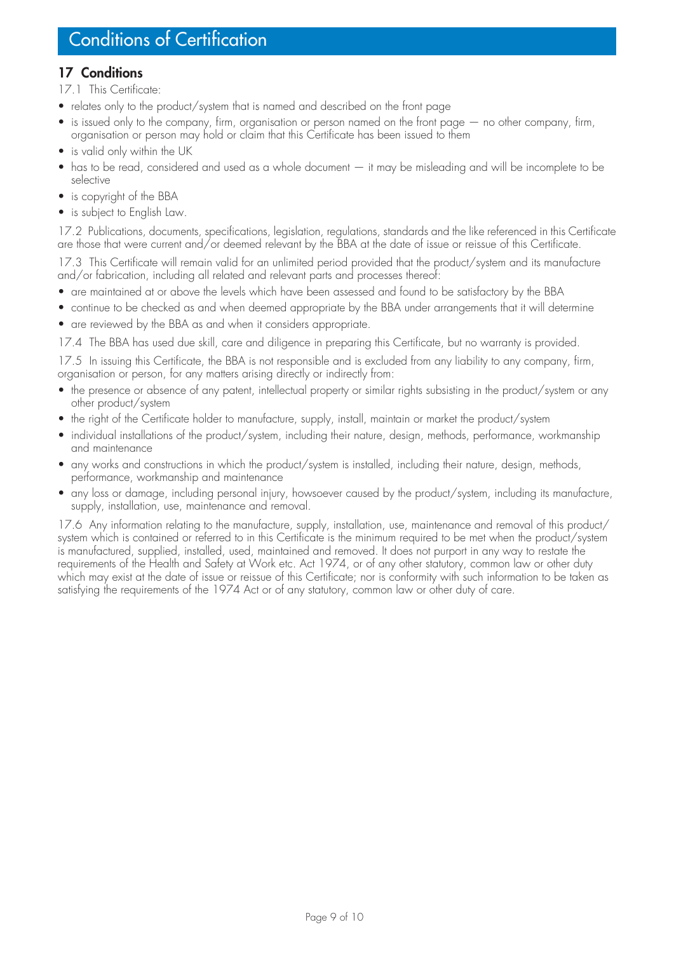## **17 Conditions**

17.1 This Certificate:

- relates only to the product/system that is named and described on the front page
- is issued only to the company, firm, organisation or person named on the front page no other company, firm, organisation or person may hold or claim that this Certificate has been issued to them
- is valid only within the UK
- has to be read, considered and used as a whole document it may be misleading and will be incomplete to be selective
- is copyright of the BBA
- is subject to English Law.

17.2 Publications, documents, specifications, legislation, regulations, standards and the like referenced in this Certificate are those that were current and/or deemed relevant by the BBA at the date of issue or reissue of this Certificate.

17.3 This Certificate will remain valid for an unlimited period provided that the product/system and its manufacture and/or fabrication, including all related and relevant parts and processes thereof:

- are maintained at or above the levels which have been assessed and found to be satisfactory by the BBA
- continue to be checked as and when deemed appropriate by the BBA under arrangements that it will determine
- are reviewed by the BBA as and when it considers appropriate.

17.4 The BBA has used due skill, care and diligence in preparing this Certificate, but no warranty is provided.

17.5 In issuing this Certificate, the BBA is not responsible and is excluded from any liability to any company, firm, organisation or person, for any matters arising directly or indirectly from:

- the presence or absence of any patent, intellectual property or similar rights subsisting in the product/system or any other product/system
- the right of the Certificate holder to manufacture, supply, install, maintain or market the product/system
- individual installations of the product/system, including their nature, design, methods, performance, workmanship and maintenance
- any works and constructions in which the product/system is installed, including their nature, design, methods, performance, workmanship and maintenance
- any loss or damage, including personal injury, howsoever caused by the product/system, including its manufacture, supply, installation, use, maintenance and removal.

17.6 Any information relating to the manufacture, supply, installation, use, maintenance and removal of this product/ system which is contained or referred to in this Certificate is the minimum required to be met when the product/system is manufactured, supplied, installed, used, maintained and removed. It does not purport in any way to restate the requirements of the Health and Safety at Work etc. Act 1974, or of any other statutory, common law or other duty which may exist at the date of issue or reissue of this Certificate; nor is conformity with such information to be taken as satisfying the requirements of the 1974 Act or of any statutory, common law or other duty of care.